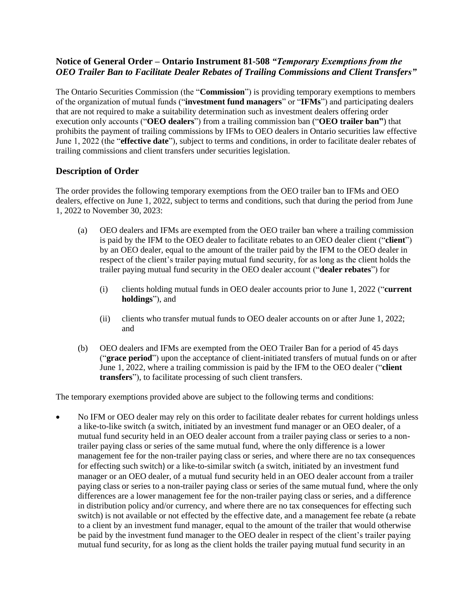# **Notice of General Order – Ontario Instrument 81-508** *"Temporary Exemptions from the OEO Trailer Ban to Facilitate Dealer Rebates of Trailing Commissions and Client Transfers"*

The Ontario Securities Commission (the "**Commission**") is providing temporary exemptions to members of the organization of mutual funds ("**investment fund managers**" or "**IFMs**") and participating dealers that are not required to make a suitability determination such as investment dealers offering order execution only accounts ("**OEO dealers**") from a trailing commission ban ("**OEO trailer ban"**) that prohibits the payment of trailing commissions by IFMs to OEO dealers in Ontario securities law effective June 1, 2022 (the "**effective date**"), subject to terms and conditions, in order to facilitate dealer rebates of trailing commissions and client transfers under securities legislation.

## **Description of Order**

The order provides the following temporary exemptions from the OEO trailer ban to IFMs and OEO dealers, effective on June 1, 2022, subject to terms and conditions, such that during the period from June 1, 2022 to November 30, 2023:

- (a) OEO dealers and IFMs are exempted from the OEO trailer ban where a trailing commission is paid by the IFM to the OEO dealer to facilitate rebates to an OEO dealer client ("**client**") by an OEO dealer, equal to the amount of the trailer paid by the IFM to the OEO dealer in respect of the client's trailer paying mutual fund security, for as long as the client holds the trailer paying mutual fund security in the OEO dealer account ("**dealer rebates**") for
	- (i) clients holding mutual funds in OEO dealer accounts prior to June 1, 2022 ("**current holdings**"), and
	- (ii) clients who transfer mutual funds to OEO dealer accounts on or after June 1, 2022; and
- (b) OEO dealers and IFMs are exempted from the OEO Trailer Ban for a period of 45 days ("**grace period**") upon the acceptance of client-initiated transfers of mutual funds on or after June 1, 2022, where a trailing commission is paid by the IFM to the OEO dealer ("**client transfers**"), to facilitate processing of such client transfers.

The temporary exemptions provided above are subject to the following terms and conditions:

• No IFM or OEO dealer may rely on this order to facilitate dealer rebates for current holdings unless a like-to-like switch (a switch, initiated by an investment fund manager or an OEO dealer, of a mutual fund security held in an OEO dealer account from a trailer paying class or series to a nontrailer paying class or series of the same mutual fund, where the only difference is a lower management fee for the non-trailer paying class or series, and where there are no tax consequences for effecting such switch) or a like-to-similar switch (a switch, initiated by an investment fund manager or an OEO dealer, of a mutual fund security held in an OEO dealer account from a trailer paying class or series to a non-trailer paying class or series of the same mutual fund, where the only differences are a lower management fee for the non-trailer paying class or series, and a difference in distribution policy and/or currency, and where there are no tax consequences for effecting such switch) is not available or not effected by the effective date, and a management fee rebate (a rebate to a client by an investment fund manager, equal to the amount of the trailer that would otherwise be paid by the investment fund manager to the OEO dealer in respect of the client's trailer paying mutual fund security, for as long as the client holds the trailer paying mutual fund security in an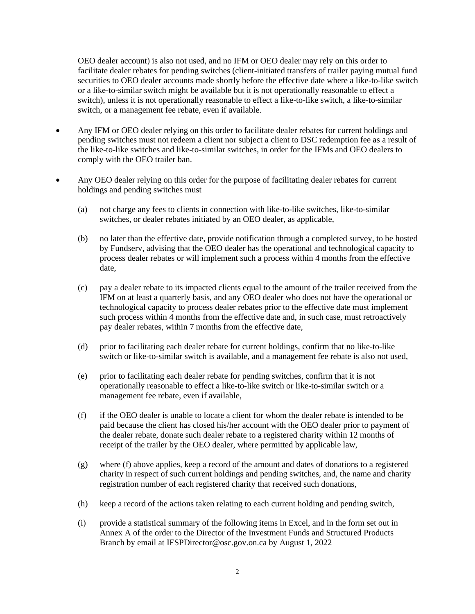OEO dealer account) is also not used, and no IFM or OEO dealer may rely on this order to facilitate dealer rebates for pending switches (client-initiated transfers of trailer paying mutual fund securities to OEO dealer accounts made shortly before the effective date where a like-to-like switch or a like-to-similar switch might be available but it is not operationally reasonable to effect a switch), unless it is not operationally reasonable to effect a like-to-like switch, a like-to-similar switch, or a management fee rebate, even if available.

- Any IFM or OEO dealer relying on this order to facilitate dealer rebates for current holdings and pending switches must not redeem a client nor subject a client to DSC redemption fee as a result of the like-to-like switches and like-to-similar switches, in order for the IFMs and OEO dealers to comply with the OEO trailer ban.
- Any OEO dealer relying on this order for the purpose of facilitating dealer rebates for current holdings and pending switches must
	- (a) not charge any fees to clients in connection with like-to-like switches, like-to-similar switches, or dealer rebates initiated by an OEO dealer, as applicable,
	- (b) no later than the effective date, provide notification through a completed survey, to be hosted by Fundserv, advising that the OEO dealer has the operational and technological capacity to process dealer rebates or will implement such a process within 4 months from the effective date,
	- (c) pay a dealer rebate to its impacted clients equal to the amount of the trailer received from the IFM on at least a quarterly basis, and any OEO dealer who does not have the operational or technological capacity to process dealer rebates prior to the effective date must implement such process within 4 months from the effective date and, in such case, must retroactively pay dealer rebates, within 7 months from the effective date,
	- (d) prior to facilitating each dealer rebate for current holdings, confirm that no like-to-like switch or like-to-similar switch is available, and a management fee rebate is also not used,
	- (e) prior to facilitating each dealer rebate for pending switches, confirm that it is not operationally reasonable to effect a like-to-like switch or like-to-similar switch or a management fee rebate, even if available,
	- (f) if the OEO dealer is unable to locate a client for whom the dealer rebate is intended to be paid because the client has closed his/her account with the OEO dealer prior to payment of the dealer rebate, donate such dealer rebate to a registered charity within 12 months of receipt of the trailer by the OEO dealer, where permitted by applicable law,
	- (g) where (f) above applies, keep a record of the amount and dates of donations to a registered charity in respect of such current holdings and pending switches, and, the name and charity registration number of each registered charity that received such donations,
	- (h) keep a record of the actions taken relating to each current holding and pending switch,
	- (i) provide a statistical summary of the following items in Excel, and in the form set out in Annex A of the order to the Director of the Investment Funds and Structured Products Branch by email at IFSPDirector@osc.gov.on.ca by August 1, 2022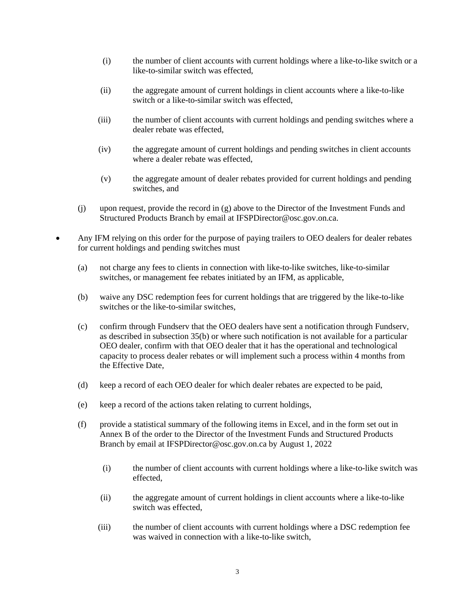- (i) the number of client accounts with current holdings where a like-to-like switch or a like-to-similar switch was effected,
- (ii) the aggregate amount of current holdings in client accounts where a like-to-like switch or a like-to-similar switch was effected,
- (iii) the number of client accounts with current holdings and pending switches where a dealer rebate was effected,
- (iv) the aggregate amount of current holdings and pending switches in client accounts where a dealer rebate was effected.
- (v) the aggregate amount of dealer rebates provided for current holdings and pending switches, and
- (j) upon request, provide the record in (g) above to the Director of the Investment Funds and Structured Products Branch by email at IFSPDirector@osc.gov.on.ca.
- Any IFM relying on this order for the purpose of paying trailers to OEO dealers for dealer rebates for current holdings and pending switches must
	- (a) not charge any fees to clients in connection with like-to-like switches, like-to-similar switches, or management fee rebates initiated by an IFM, as applicable,
	- (b) waive any DSC redemption fees for current holdings that are triggered by the like-to-like switches or the like-to-similar switches,
	- (c) confirm through Fundserv that the OEO dealers have sent a notification through Fundserv, as described in subsection 35(b) or where such notification is not available for a particular OEO dealer, confirm with that OEO dealer that it has the operational and technological capacity to process dealer rebates or will implement such a process within 4 months from the Effective Date,
	- (d) keep a record of each OEO dealer for which dealer rebates are expected to be paid,
	- (e) keep a record of the actions taken relating to current holdings,
	- (f) provide a statistical summary of the following items in Excel, and in the form set out in Annex B of the order to the Director of the Investment Funds and Structured Products Branch by email at IFSPDirector@osc.gov.on.ca by August 1, 2022
		- (i) the number of client accounts with current holdings where a like-to-like switch was effected,
		- (ii) the aggregate amount of current holdings in client accounts where a like-to-like switch was effected,
		- (iii) the number of client accounts with current holdings where a DSC redemption fee was waived in connection with a like-to-like switch,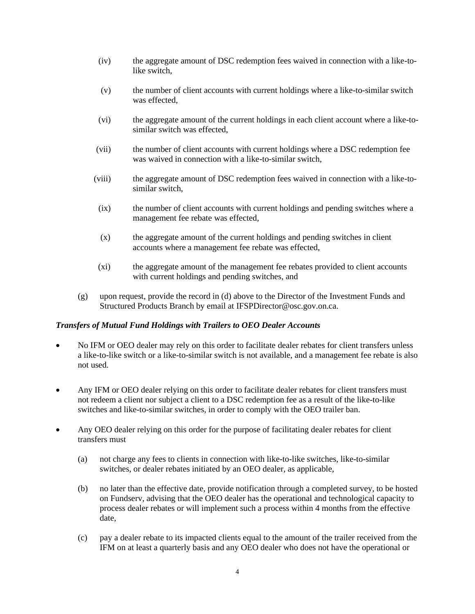- (iv) the aggregate amount of DSC redemption fees waived in connection with a like-tolike switch,
- (v) the number of client accounts with current holdings where a like-to-similar switch was effected,
- (vi) the aggregate amount of the current holdings in each client account where a like-tosimilar switch was effected,
- (vii) the number of client accounts with current holdings where a DSC redemption fee was waived in connection with a like-to-similar switch,
- (viii) the aggregate amount of DSC redemption fees waived in connection with a like-tosimilar switch,
- (ix) the number of client accounts with current holdings and pending switches where a management fee rebate was effected,
- (x) the aggregate amount of the current holdings and pending switches in client accounts where a management fee rebate was effected,
- (xi) the aggregate amount of the management fee rebates provided to client accounts with current holdings and pending switches, and
- (g) upon request, provide the record in (d) above to the Director of the Investment Funds and Structured Products Branch by email at IFSPDirector@osc.gov.on.ca.

#### *Transfers of Mutual Fund Holdings with Trailers to OEO Dealer Accounts*

- No IFM or OEO dealer may rely on this order to facilitate dealer rebates for client transfers unless a like-to-like switch or a like-to-similar switch is not available, and a management fee rebate is also not used.
- Any IFM or OEO dealer relying on this order to facilitate dealer rebates for client transfers must not redeem a client nor subject a client to a DSC redemption fee as a result of the like-to-like switches and like-to-similar switches, in order to comply with the OEO trailer ban.
- Any OEO dealer relying on this order for the purpose of facilitating dealer rebates for client transfers must
	- (a) not charge any fees to clients in connection with like-to-like switches, like-to-similar switches, or dealer rebates initiated by an OEO dealer, as applicable,
	- (b) no later than the effective date, provide notification through a completed survey, to be hosted on Fundserv, advising that the OEO dealer has the operational and technological capacity to process dealer rebates or will implement such a process within 4 months from the effective date,
	- (c) pay a dealer rebate to its impacted clients equal to the amount of the trailer received from the IFM on at least a quarterly basis and any OEO dealer who does not have the operational or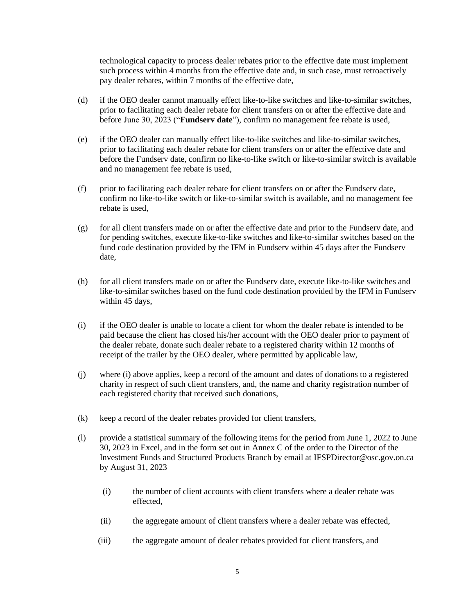technological capacity to process dealer rebates prior to the effective date must implement such process within 4 months from the effective date and, in such case, must retroactively pay dealer rebates, within 7 months of the effective date,

- (d) if the OEO dealer cannot manually effect like-to-like switches and like-to-similar switches, prior to facilitating each dealer rebate for client transfers on or after the effective date and before June 30, 2023 ("**Fundserv date**"), confirm no management fee rebate is used,
- (e) if the OEO dealer can manually effect like-to-like switches and like-to-similar switches, prior to facilitating each dealer rebate for client transfers on or after the effective date and before the Fundserv date, confirm no like-to-like switch or like-to-similar switch is available and no management fee rebate is used,
- (f) prior to facilitating each dealer rebate for client transfers on or after the Fundserv date, confirm no like-to-like switch or like-to-similar switch is available, and no management fee rebate is used,
- (g) for all client transfers made on or after the effective date and prior to the Fundserv date, and for pending switches, execute like-to-like switches and like-to-similar switches based on the fund code destination provided by the IFM in Fundserv within 45 days after the Fundserv date,
- (h) for all client transfers made on or after the Fundserv date, execute like-to-like switches and like-to-similar switches based on the fund code destination provided by the IFM in Fundserv within 45 days,
- (i) if the OEO dealer is unable to locate a client for whom the dealer rebate is intended to be paid because the client has closed his/her account with the OEO dealer prior to payment of the dealer rebate, donate such dealer rebate to a registered charity within 12 months of receipt of the trailer by the OEO dealer, where permitted by applicable law,
- (j) where (i) above applies, keep a record of the amount and dates of donations to a registered charity in respect of such client transfers, and, the name and charity registration number of each registered charity that received such donations,
- (k) keep a record of the dealer rebates provided for client transfers,
- (l) provide a statistical summary of the following items for the period from June 1, 2022 to June 30, 2023 in Excel, and in the form set out in Annex C of the order to the Director of the Investment Funds and Structured Products Branch by email at IFSPDirector@osc.gov.on.ca by August 31, 2023
	- (i) the number of client accounts with client transfers where a dealer rebate was effected,
	- (ii) the aggregate amount of client transfers where a dealer rebate was effected,
	- (iii) the aggregate amount of dealer rebates provided for client transfers, and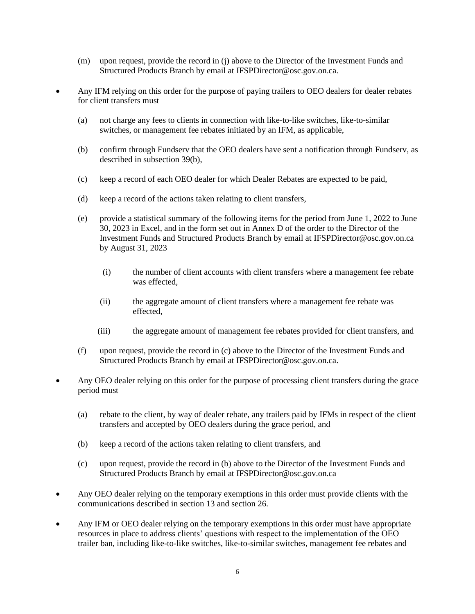- (m) upon request, provide the record in (j) above to the Director of the Investment Funds and Structured Products Branch by email at [IFSPDirector@osc.gov.on.ca.](mailto:IFSPDirector@osc.gov.on.ca)
- Any IFM relying on this order for the purpose of paying trailers to OEO dealers for dealer rebates for client transfers must
	- (a) not charge any fees to clients in connection with like-to-like switches, like-to-similar switches, or management fee rebates initiated by an IFM, as applicable,
	- (b) confirm through Fundserv that the OEO dealers have sent a notification through Fundserv, as described in subsection 39(b),
	- (c) keep a record of each OEO dealer for which Dealer Rebates are expected to be paid,
	- (d) keep a record of the actions taken relating to client transfers,
	- (e) provide a statistical summary of the following items for the period from June 1, 2022 to June 30, 2023 in Excel, and in the form set out in Annex D of the order to the Director of the Investment Funds and Structured Products Branch by email at IFSPDirector@osc.gov.on.ca by August 31, 2023
		- (i) the number of client accounts with client transfers where a management fee rebate was effected,
		- (ii) the aggregate amount of client transfers where a management fee rebate was effected,
		- (iii) the aggregate amount of management fee rebates provided for client transfers, and
	- (f) upon request, provide the record in (c) above to the Director of the Investment Funds and Structured Products Branch by email at IFSPDirector@osc.gov.on.ca.
- Any OEO dealer relying on this order for the purpose of processing client transfers during the grace period must
	- (a) rebate to the client, by way of dealer rebate, any trailers paid by IFMs in respect of the client transfers and accepted by OEO dealers during the grace period, and
	- (b) keep a record of the actions taken relating to client transfers, and
	- (c) upon request, provide the record in (b) above to the Director of the Investment Funds and Structured Products Branch by email at IFSPDirector@osc.gov.on.ca
- Any OEO dealer relying on the temporary exemptions in this order must provide clients with the communications described in section 13 and section 26.
- Any IFM or OEO dealer relying on the temporary exemptions in this order must have appropriate resources in place to address clients' questions with respect to the implementation of the OEO trailer ban, including like-to-like switches, like-to-similar switches, management fee rebates and